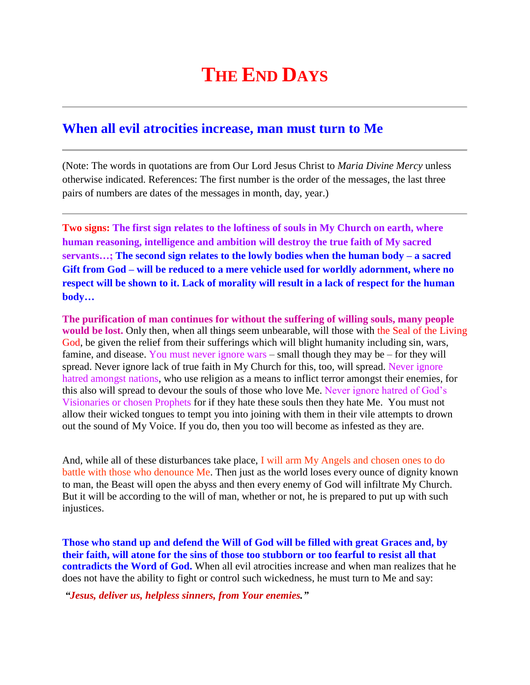## **THE END DAYS**

## **When all evil atrocities increase, man must turn to Me**

(Note: The words in quotations are from Our Lord Jesus Christ to *Maria Divine Mercy* unless otherwise indicated. References: The first number is the order of the messages, the last three pairs of numbers are dates of the messages in month, day, year.)

**Two signs: The first sign relates to the loftiness of souls in My Church on earth, where human reasoning, intelligence and ambition will destroy the true faith of My sacred servants…; The second sign relates to the lowly bodies when the human body – a sacred Gift from God – will be reduced to a mere vehicle used for worldly adornment, where no respect will be shown to it. Lack of morality will result in a lack of respect for the human body…**

**The purification of man continues for without the suffering of willing souls, many people would be lost.** Only then, when all things seem unbearable, will those with the Seal of the Living God, be given the relief from their sufferings which will blight humanity including sin, wars, famine, and disease. You must never ignore wars – small though they may be – for they will spread. Never ignore lack of true faith in My Church for this, too, will spread. Never ignore hatred amongst nations, who use religion as a means to inflict terror amongst their enemies, for this also will spread to devour the souls of those who love Me. Never ignore hatred of God's Visionaries or chosen Prophets for if they hate these souls then they hate Me. You must not allow their wicked tongues to tempt you into joining with them in their vile attempts to drown out the sound of My Voice. If you do, then you too will become as infested as they are.

And, while all of these disturbances take place, I will arm My Angels and chosen ones to do battle with those who denounce Me. Then just as the world loses every ounce of dignity known to man, the Beast will open the abyss and then every enemy of God will infiltrate My Church. But it will be according to the will of man, whether or not, he is prepared to put up with such injustices.

**Those who stand up and defend the Will of God will be filled with great Graces and, by their faith, will atone for the sins of those too stubborn or too fearful to resist all that contradicts the Word of God.** When all evil atrocities increase and when man realizes that he does not have the ability to fight or control such wickedness, he must turn to Me and say:

*"Jesus, deliver us, helpless sinners, from Your enemies."*